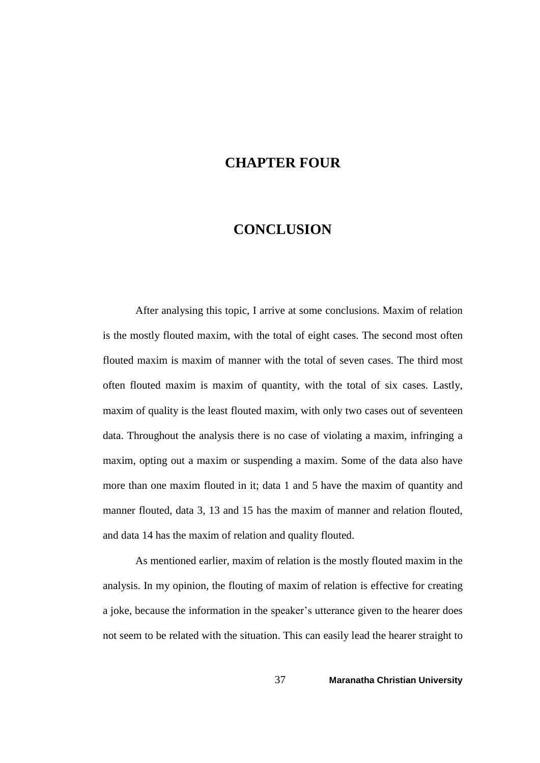## **CHAPTER FOUR**

## **CONCLUSION**

After analysing this topic, I arrive at some conclusions. Maxim of relation is the mostly flouted maxim, with the total of eight cases. The second most often flouted maxim is maxim of manner with the total of seven cases. The third most often flouted maxim is maxim of quantity, with the total of six cases. Lastly, maxim of quality is the least flouted maxim, with only two cases out of seventeen data. Throughout the analysis there is no case of violating a maxim, infringing a maxim, opting out a maxim or suspending a maxim. Some of the data also have more than one maxim flouted in it; data 1 and 5 have the maxim of quantity and manner flouted, data 3, 13 and 15 has the maxim of manner and relation flouted, and data 14 has the maxim of relation and quality flouted.

As mentioned earlier, maxim of relation is the mostly flouted maxim in the analysis. In my opinion, the flouting of maxim of relation is effective for creating a joke, because the information in the speaker's utterance given to the hearer does not seem to be related with the situation. This can easily lead the hearer straight to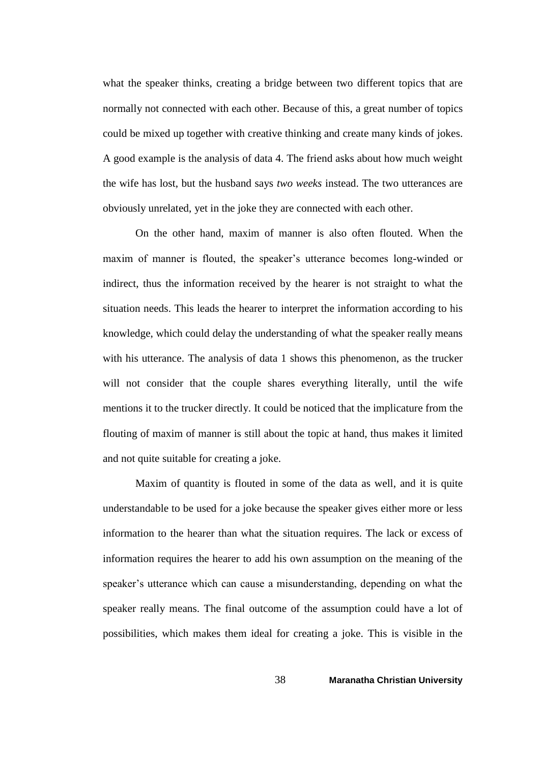what the speaker thinks, creating a bridge between two different topics that are normally not connected with each other. Because of this, a great number of topics could be mixed up together with creative thinking and create many kinds of jokes. A good example is the analysis of data 4. The friend asks about how much weight the wife has lost, but the husband says *two weeks* instead. The two utterances are obviously unrelated, yet in the joke they are connected with each other.

On the other hand, maxim of manner is also often flouted. When the maxim of manner is flouted, the speaker's utterance becomes long-winded or indirect, thus the information received by the hearer is not straight to what the situation needs. This leads the hearer to interpret the information according to his knowledge, which could delay the understanding of what the speaker really means with his utterance. The analysis of data 1 shows this phenomenon, as the trucker will not consider that the couple shares everything literally, until the wife mentions it to the trucker directly. It could be noticed that the implicature from the flouting of maxim of manner is still about the topic at hand, thus makes it limited and not quite suitable for creating a joke.

Maxim of quantity is flouted in some of the data as well, and it is quite understandable to be used for a joke because the speaker gives either more or less information to the hearer than what the situation requires. The lack or excess of information requires the hearer to add his own assumption on the meaning of the speaker's utterance which can cause a misunderstanding, depending on what the speaker really means. The final outcome of the assumption could have a lot of possibilities, which makes them ideal for creating a joke. This is visible in the

38 **Maranatha Christian University**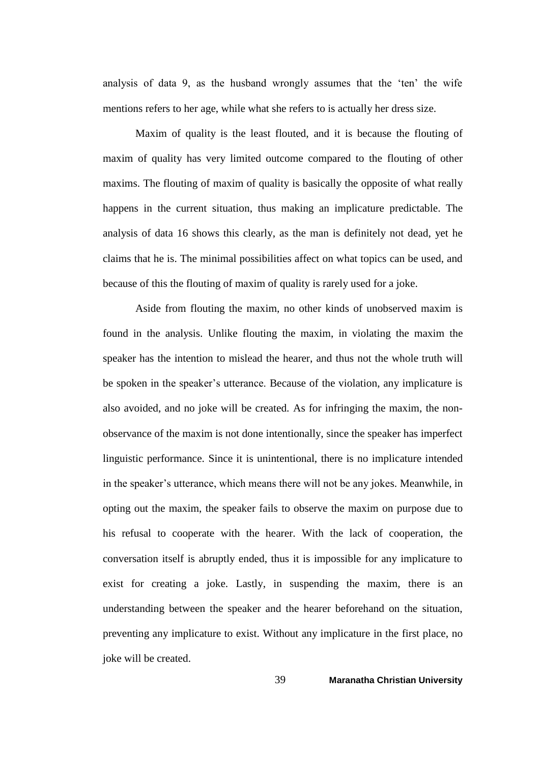analysis of data 9, as the husband wrongly assumes that the 'ten' the wife mentions refers to her age, while what she refers to is actually her dress size.

Maxim of quality is the least flouted, and it is because the flouting of maxim of quality has very limited outcome compared to the flouting of other maxims. The flouting of maxim of quality is basically the opposite of what really happens in the current situation, thus making an implicature predictable. The analysis of data 16 shows this clearly, as the man is definitely not dead, yet he claims that he is. The minimal possibilities affect on what topics can be used, and because of this the flouting of maxim of quality is rarely used for a joke.

Aside from flouting the maxim, no other kinds of unobserved maxim is found in the analysis. Unlike flouting the maxim, in violating the maxim the speaker has the intention to mislead the hearer, and thus not the whole truth will be spoken in the speaker's utterance. Because of the violation, any implicature is also avoided, and no joke will be created. As for infringing the maxim, the nonobservance of the maxim is not done intentionally, since the speaker has imperfect linguistic performance. Since it is unintentional, there is no implicature intended in the speaker's utterance, which means there will not be any jokes. Meanwhile, in opting out the maxim, the speaker fails to observe the maxim on purpose due to his refusal to cooperate with the hearer. With the lack of cooperation, the conversation itself is abruptly ended, thus it is impossible for any implicature to exist for creating a joke. Lastly, in suspending the maxim, there is an understanding between the speaker and the hearer beforehand on the situation, preventing any implicature to exist. Without any implicature in the first place, no joke will be created.

39 **Maranatha Christian University**